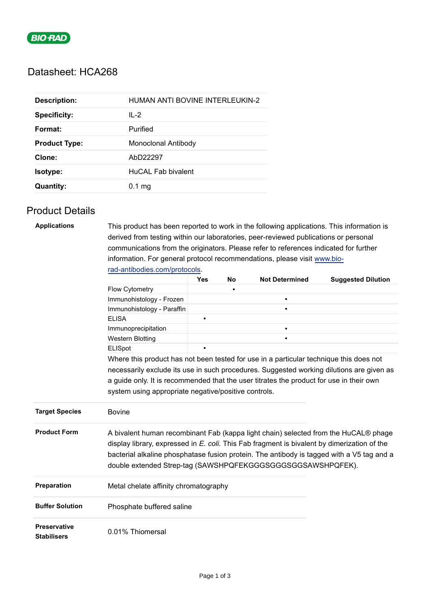

# Datasheet: HCA268

| <b>Description:</b>  | HUMAN ANTI BOVINE INTERLEUKIN-2 |
|----------------------|---------------------------------|
| <b>Specificity:</b>  | $IL-2$                          |
| Format:              | Purified                        |
| <b>Product Type:</b> | Monoclonal Antibody             |
| Clone:               | AbD22297                        |
| Isotype:             | HuCAL Fab bivalent              |
| <b>Quantity:</b>     | $0.1$ mg                        |

### Product Details

| <b>Applications</b>                       |                                                                                                                                                                                                                                                                                                                                                   | This product has been reported to work in the following applications. This information is |           |                       |                           |  |  |
|-------------------------------------------|---------------------------------------------------------------------------------------------------------------------------------------------------------------------------------------------------------------------------------------------------------------------------------------------------------------------------------------------------|-------------------------------------------------------------------------------------------|-----------|-----------------------|---------------------------|--|--|
|                                           | derived from testing within our laboratories, peer-reviewed publications or personal                                                                                                                                                                                                                                                              |                                                                                           |           |                       |                           |  |  |
|                                           | communications from the originators. Please refer to references indicated for further                                                                                                                                                                                                                                                             |                                                                                           |           |                       |                           |  |  |
|                                           | information. For general protocol recommendations, please visit www.bio-                                                                                                                                                                                                                                                                          |                                                                                           |           |                       |                           |  |  |
|                                           | rad-antibodies.com/protocols.                                                                                                                                                                                                                                                                                                                     |                                                                                           |           |                       |                           |  |  |
|                                           |                                                                                                                                                                                                                                                                                                                                                   | Yes                                                                                       | <b>No</b> | <b>Not Determined</b> | <b>Suggested Dilution</b> |  |  |
|                                           | Flow Cytometry                                                                                                                                                                                                                                                                                                                                    |                                                                                           |           |                       |                           |  |  |
|                                           | Immunohistology - Frozen                                                                                                                                                                                                                                                                                                                          |                                                                                           |           | $\blacksquare$        |                           |  |  |
|                                           | Immunohistology - Paraffin                                                                                                                                                                                                                                                                                                                        |                                                                                           |           | $\blacksquare$        |                           |  |  |
|                                           | <b>ELISA</b>                                                                                                                                                                                                                                                                                                                                      | Ē                                                                                         |           |                       |                           |  |  |
|                                           | Immunoprecipitation                                                                                                                                                                                                                                                                                                                               |                                                                                           |           | $\blacksquare$        |                           |  |  |
|                                           | <b>Western Blotting</b>                                                                                                                                                                                                                                                                                                                           |                                                                                           |           |                       |                           |  |  |
|                                           | ELISpot                                                                                                                                                                                                                                                                                                                                           |                                                                                           |           |                       |                           |  |  |
|                                           | Where this product has not been tested for use in a particular technique this does not                                                                                                                                                                                                                                                            |                                                                                           |           |                       |                           |  |  |
|                                           | necessarily exclude its use in such procedures. Suggested working dilutions are given as<br>a guide only. It is recommended that the user titrates the product for use in their own                                                                                                                                                               |                                                                                           |           |                       |                           |  |  |
|                                           |                                                                                                                                                                                                                                                                                                                                                   |                                                                                           |           |                       |                           |  |  |
|                                           | system using appropriate negative/positive controls.                                                                                                                                                                                                                                                                                              |                                                                                           |           |                       |                           |  |  |
| <b>Target Species</b>                     | <b>Bovine</b>                                                                                                                                                                                                                                                                                                                                     |                                                                                           |           |                       |                           |  |  |
| <b>Product Form</b>                       | A bivalent human recombinant Fab (kappa light chain) selected from the HuCAL® phage<br>display library, expressed in $E$ . coli. This Fab fragment is bivalent by dimerization of the<br>bacterial alkaline phosphatase fusion protein. The antibody is tagged with a V5 tag and a<br>double extended Strep-tag (SAWSHPQFEKGGGSGGGSGGSAWSHPQFEK). |                                                                                           |           |                       |                           |  |  |
| Preparation                               | Metal chelate affinity chromatography                                                                                                                                                                                                                                                                                                             |                                                                                           |           |                       |                           |  |  |
| <b>Buffer Solution</b>                    | Phosphate buffered saline                                                                                                                                                                                                                                                                                                                         |                                                                                           |           |                       |                           |  |  |
| <b>Preservative</b><br><b>Stabilisers</b> | 0.01% Thiomersal                                                                                                                                                                                                                                                                                                                                  |                                                                                           |           |                       |                           |  |  |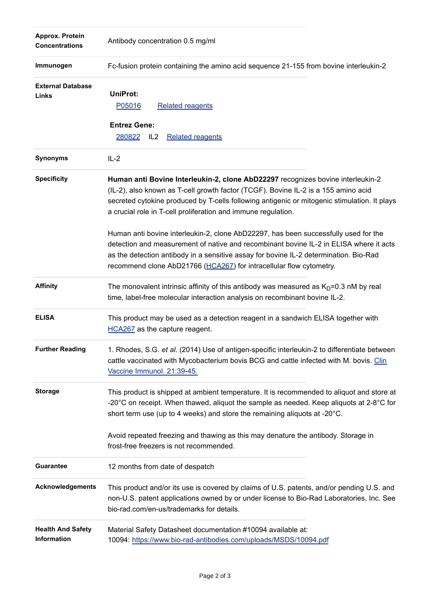| Approx. Protein<br><b>Concentrations</b> | Antibody concentration 0.5 mg/ml                                                                                                                                                                                                                                                                                                              |
|------------------------------------------|-----------------------------------------------------------------------------------------------------------------------------------------------------------------------------------------------------------------------------------------------------------------------------------------------------------------------------------------------|
| Immunogen                                | Fc-fusion protein containing the amino acid sequence 21-155 from bovine interleukin-2                                                                                                                                                                                                                                                         |
| <b>External Database</b><br>Links        | <b>UniProt:</b><br>P05016<br><b>Related reagents</b><br><b>Entrez Gene:</b><br>280822<br>IL <sub>2</sub><br><b>Related reagents</b>                                                                                                                                                                                                           |
| <b>Synonyms</b>                          | $IL-2$                                                                                                                                                                                                                                                                                                                                        |
| <b>Specificity</b>                       | Human anti Bovine Interleukin-2, clone AbD22297 recognizes bovine interleukin-2<br>(IL-2), also known as T-cell growth factor (TCGF). Bovine IL-2 is a 155 amino acid<br>secreted cytokine produced by T-cells following antigenic or mitogenic stimulation. It plays<br>a crucial role in T-cell proliferation and immune regulation.        |
|                                          | Human anti bovine interleukin-2, clone AbD22297, has been successfully used for the<br>detection and measurement of native and recombinant bovine IL-2 in ELISA where it acts<br>as the detection antibody in a sensitive assay for bovine IL-2 determination. Bio-Rad<br>recommend clone AbD21766 (HCA267) for intracellular flow cytometry. |
| <b>Affinity</b>                          | The monovalent intrinsic affinity of this antibody was measured as $KD=0.3$ nM by real<br>time, label-free molecular interaction analysis on recombinant bovine IL-2.                                                                                                                                                                         |
| <b>ELISA</b>                             | This product may be used as a detection reagent in a sandwich ELISA together with<br>HCA267 as the capture reagent.                                                                                                                                                                                                                           |
| <b>Further Reading</b>                   | 1. Rhodes, S.G. et al. (2014) Use of antigen-specific interleukin-2 to differentiate between<br>cattle vaccinated with Mycobacterium bovis BCG and cattle infected with M. bovis. Clin<br>Vaccine Immunol. 21:39-45.                                                                                                                          |
| <b>Storage</b>                           | This product is shipped at ambient temperature. It is recommended to aliquot and store at<br>-20 $^{\circ}$ C on receipt. When thawed, aliquot the sample as needed. Keep aliquots at 2-8 $^{\circ}$ C for<br>short term use (up to 4 weeks) and store the remaining aliquots at -20°C.                                                       |
|                                          | Avoid repeated freezing and thawing as this may denature the antibody. Storage in<br>frost-free freezers is not recommended.                                                                                                                                                                                                                  |
| <b>Guarantee</b>                         | 12 months from date of despatch                                                                                                                                                                                                                                                                                                               |
| <b>Acknowledgements</b>                  | This product and/or its use is covered by claims of U.S. patents, and/or pending U.S. and<br>non-U.S. patent applications owned by or under license to Bio-Rad Laboratories, Inc. See<br>bio-rad.com/en-us/trademarks for details.                                                                                                            |
| <b>Health And Safety</b><br>Information  | Material Safety Datasheet documentation #10094 available at:<br>10094: https://www.bio-rad-antibodies.com/uploads/MSDS/10094.pdf                                                                                                                                                                                                              |